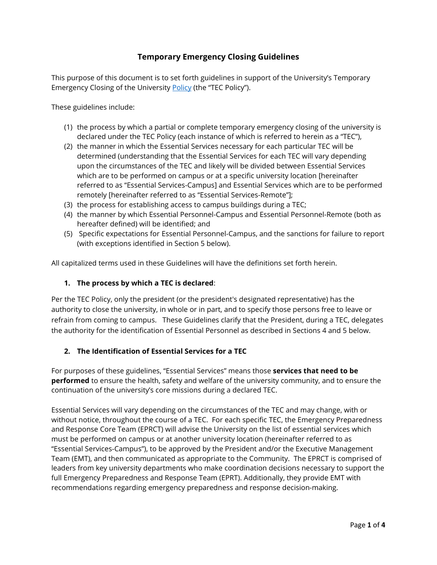# **Temporary Emergency Closing Guidelines**

This purpose of this document is to set forth guidelines in support of the University's Temporary Emergency Closing of the University [Policy](https://www.cmu.edu/policies/safety-and-security/emergency-closing.html) (the "TEC Policy").

These guidelines include:

- (1) the process by which a partial or complete temporary emergency closing of the university is declared under the TEC Policy (each instance of which is referred to herein as a "TEC"),
- (2) the manner in which the Essential Services necessary for each particular TEC will be determined (understanding that the Essential Services for each TEC will vary depending upon the circumstances of the TEC and likely will be divided between Essential Services which are to be performed on campus or at a specific university location [hereinafter referred to as "Essential Services-Campus] and Essential Services which are to be performed remotely [hereinafter referred to as "Essential Services-Remote"];
- (3) the process for establishing access to campus buildings during a TEC;
- (4) the manner by which Essential Personnel-Campus and Essential Personnel-Remote (both as hereafter defined) will be identified; and
- (5) Specific expectations for Essential Personnel-Campus, and the sanctions for failure to report (with exceptions identified in Section 5 below).

All capitalized terms used in these Guidelines will have the definitions set forth herein.

### **1. The process by which a TEC is declared**:

Per the TEC Policy, only the president (or the president's designated representative) has the authority to close the university, in whole or in part, and to specify those persons free to leave or refrain from coming to campus. These Guidelines clarify that the President, during a TEC, delegates the authority for the identification of Essential Personnel as described in Sections 4 and 5 below.

### **2. The Identification of Essential Services for a TEC**

For purposes of these guidelines, "Essential Services" means those **services that need to be performed** to ensure the health, safety and welfare of the university community, and to ensure the continuation of the university's core missions during a declared TEC.

Essential Services will vary depending on the circumstances of the TEC and may change, with or without notice, throughout the course of a TEC. For each specific TEC, the Emergency Preparedness and Response Core Team (EPRCT) will advise the University on the list of essential services which must be performed on campus or at another university location (hereinafter referred to as "Essential Services-Campus"), to be approved by the President and/or the Executive Management Team (EMT), and then communicated as appropriate to the Community. The EPRCT is comprised of leaders from key university departments who make coordination decisions necessary to support the full Emergency Preparedness and Response Team (EPRT). Additionally, they provide EMT with recommendations regarding emergency preparedness and response decision-making.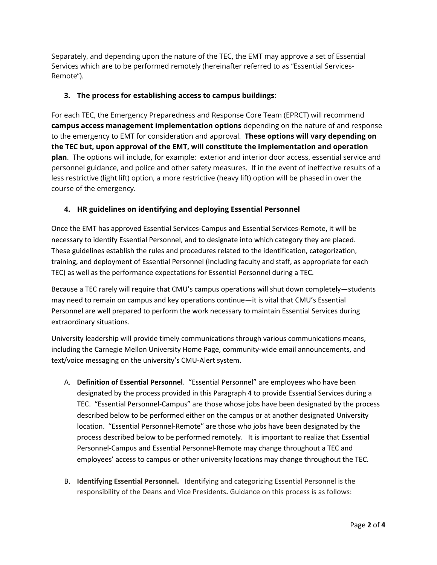Separately, and depending upon the nature of the TEC, the EMT may approve a set of Essential Services which are to be performed remotely (hereinafter referred to as "Essential Services-Remote").

### **3. The process for establishing access to campus buildings**:

For each TEC, the Emergency Preparedness and Response Core Team (EPRCT) will recommend **campus access management implementation options** depending on the nature of and response to the emergency to EMT for consideration and approval. **These options will vary depending on the TEC but, upon approval of the EMT, will constitute the implementation and operation plan**. The options will include, for example: exterior and interior door access, essential service and personnel guidance, and police and other safety measures. If in the event of ineffective results of a less restrictive (light lift) option, a more restrictive (heavy lift) option will be phased in over the course of the emergency.

## **4. HR guidelines on identifying and deploying Essential Personnel**

Once the EMT has approved Essential Services-Campus and Essential Services-Remote, it will be necessary to identify Essential Personnel, and to designate into which category they are placed. These guidelines establish the rules and procedures related to the identification, categorization, training, and deployment of Essential Personnel (including faculty and staff, as appropriate for each TEC) as well as the performance expectations for Essential Personnel during a TEC.

Because a TEC rarely will require that CMU's campus operations will shut down completely—students may need to remain on campus and key operations continue—it is vital that CMU's Essential Personnel are well prepared to perform the work necessary to maintain Essential Services during extraordinary situations.

University leadership will provide timely communications through various communications means, including the Carnegie Mellon University Home Page, community-wide email announcements, and text/voice messaging on the university's CMU-Alert system.

- A. **Definition of Essential Personnel**. "Essential Personnel" are employees who have been designated by the process provided in this Paragraph 4 to provide Essential Services during a TEC. "Essential Personnel-Campus" are those whose jobs have been designated by the process described below to be performed either on the campus or at another designated University location. "Essential Personnel-Remote" are those who jobs have been designated by the process described below to be performed remotely. It is important to realize that Essential Personnel-Campus and Essential Personnel-Remote may change throughout a TEC and employees' access to campus or other university locations may change throughout the TEC.
- B. **Identifying Essential Personnel.** Identifying and categorizing Essential Personnel is the responsibility of the Deans and Vice Presidents**.** Guidance on this process is as follows: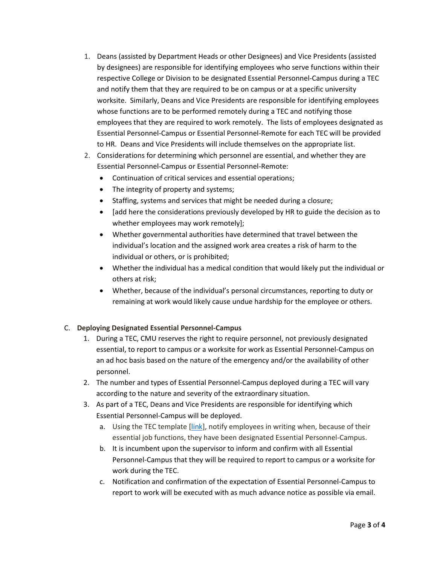- 1. Deans (assisted by Department Heads or other Designees) and Vice Presidents (assisted by designees) are responsible for identifying employees who serve functions within their respective College or Division to be designated Essential Personnel-Campus during a TEC and notify them that they are required to be on campus or at a specific university worksite. Similarly, Deans and Vice Presidents are responsible for identifying employees whose functions are to be performed remotely during a TEC and notifying those employees that they are required to work remotely. The lists of employees designated as Essential Personnel-Campus or Essential Personnel-Remote for each TEC will be provided to HR. Deans and Vice Presidents will include themselves on the appropriate list.
- 2. Considerations for determining which personnel are essential, and whether they are Essential Personnel-Campus or Essential Personnel-Remote:
	- Continuation of critical services and essential operations;
	- The integrity of property and systems;
	- Staffing, systems and services that might be needed during a closure;
	- [add here the considerations previously developed by HR to guide the decision as to whether employees may work remotely];
	- Whether governmental authorities have determined that travel between the individual's location and the assigned work area creates a risk of harm to the individual or others, or is prohibited;
	- Whether the individual has a medical condition that would likely put the individual or others at risk;
	- Whether, because of the individual's personal circumstances, reporting to duty or remaining at work would likely cause undue hardship for the employee or others.

### C. **Deploying Designated Essential Personnel-Campus**

- 1. During a TEC, CMU reserves the right to require personnel, not previously designated essential, to report to campus or a worksite for work as Essential Personnel-Campus on an ad hoc basis based on the nature of the emergency and/or the availability of other personnel.
- 2. The number and types of Essential Personnel-Campus deployed during a TEC will vary according to the nature and severity of the extraordinary situation.
- 3. As part of a TEC, Deans and Vice Presidents are responsible for identifying which Essential Personnel-Campus will be deployed.
	- a. Using the TEC template [\[link\]](https://www.cmu.edu/hr/coronavirus/tec-hr-acknowledge-essential-personnel-campus.docx), notify employees in writing when, because of their essential job functions, they have been designated Essential Personnel-Campus.
	- b. It is incumbent upon the supervisor to inform and confirm with all Essential Personnel-Campus that they will be required to report to campus or a worksite for work during the TEC.
	- c. Notification and confirmation of the expectation of Essential Personnel-Campus to report to work will be executed with as much advance notice as possible via email.